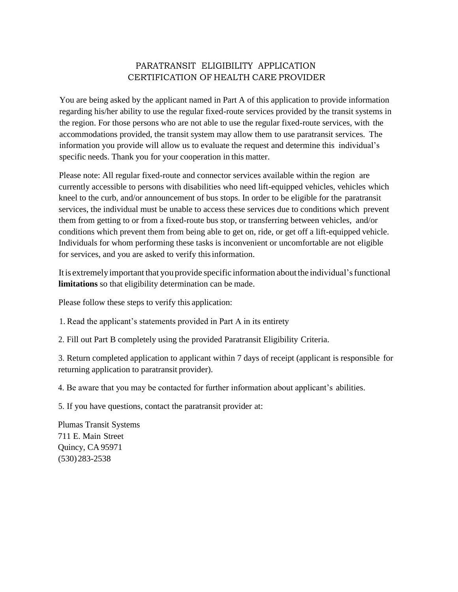## PARATRANSIT ELIGIBILITY APPLICATION CERTIFICATION OF HEALTH CARE PROVIDER

You are being asked by the applicant named in Part A of this application to provide information regarding his/her ability to use the regular fixed-route services provided by the transit systems in the region. For those persons who are not able to use the regular fixed-route services, with the accommodations provided, the transit system may allow them to use paratransit services. The information you provide will allow us to evaluate the request and determine this individual's specific needs. Thank you for your cooperation in this matter.

Please note: All regular fixed-route and connector services available within the region are currently accessible to persons with disabilities who need lift-equipped vehicles, vehicles which kneel to the curb, and/or announcement of bus stops. In order to be eligible for the paratransit services, the individual must be unable to access these services due to conditions which prevent them from getting to or from a fixed-route bus stop, or transferring between vehicles, and/or conditions which prevent them from being able to get on, ride, or get off a lift-equipped vehicle. Individuals for whom performing these tasks is inconvenient or uncomfortable are not eligible for services, and you are asked to verify thisinformation.

Itis extremelyimportant that youprovide specific information aboutthe individual'sfunctional **limitations** so that eligibility determination can be made.

Please follow these steps to verify this application:

1. Read the applicant's statements provided in Part A in its entirety

2. Fill out Part B completely using the provided Paratransit Eligibility Criteria.

3. Return completed application to applicant within 7 days of receipt (applicant is responsible for returning application to paratransit provider).

4. Be aware that you may be contacted for further information about applicant's abilities.

5. If you have questions, contact the paratransit provider at:

Plumas Transit Systems 711 E. Main Street Quincy, CA 95971 (530)283-2538